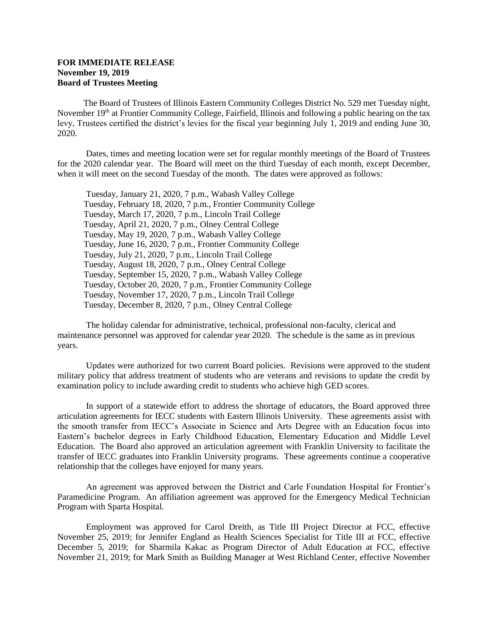## **FOR IMMEDIATE RELEASE November 19, 2019 Board of Trustees Meeting**

The Board of Trustees of Illinois Eastern Community Colleges District No. 529 met Tuesday night, November  $19<sup>th</sup>$  at Frontier Community College, Fairfield, Illinois and following a public hearing on the tax levy, Trustees certified the district's levies for the fiscal year beginning July 1, 2019 and ending June 30, 2020.

Dates, times and meeting location were set for regular monthly meetings of the Board of Trustees for the 2020 calendar year. The Board will meet on the third Tuesday of each month, except December, when it will meet on the second Tuesday of the month. The dates were approved as follows:

Tuesday, January 21, 2020, 7 p.m., Wabash Valley College Tuesday, February 18, 2020, 7 p.m., Frontier Community College Tuesday, March 17, 2020, 7 p.m., Lincoln Trail College Tuesday, April 21, 2020, 7 p.m., Olney Central College Tuesday, May 19, 2020, 7 p.m., Wabash Valley College Tuesday, June 16, 2020, 7 p.m., Frontier Community College Tuesday, July 21, 2020, 7 p.m., Lincoln Trail College Tuesday, August 18, 2020, 7 p.m., Olney Central College Tuesday, September 15, 2020, 7 p.m., Wabash Valley College Tuesday, October 20, 2020, 7 p.m., Frontier Community College Tuesday, November 17, 2020, 7 p.m., Lincoln Trail College Tuesday, December 8, 2020, 7 p.m., Olney Central College

The holiday calendar for administrative, technical, professional non-faculty, clerical and maintenance personnel was approved for calendar year 2020. The schedule is the same as in previous years.

Updates were authorized for two current Board policies. Revisions were approved to the student military policy that address treatment of students who are veterans and revisions to update the credit by examination policy to include awarding credit to students who achieve high GED scores.

In support of a statewide effort to address the shortage of educators, the Board approved three articulation agreements for IECC students with Eastern Illinois University. These agreements assist with the smooth transfer from IECC's Associate in Science and Arts Degree with an Education focus into Eastern's bachelor degrees in Early Childhood Education, Elementary Education and Middle Level Education. The Board also approved an articulation agreement with Franklin University to facilitate the transfer of IECC graduates into Franklin University programs. These agreements continue a cooperative relationship that the colleges have enjoyed for many years.

An agreement was approved between the District and Carle Foundation Hospital for Frontier's Paramedicine Program. An affiliation agreement was approved for the Emergency Medical Technician Program with Sparta Hospital.

Employment was approved for Carol Dreith, as Title III Project Director at FCC, effective November 25, 2019; for Jennifer England as Health Sciences Specialist for Title III at FCC, effective December 5, 2019; for Sharmila Kakac as Program Director of Adult Education at FCC, effective November 21, 2019; for Mark Smith as Building Manager at West Richland Center, effective November